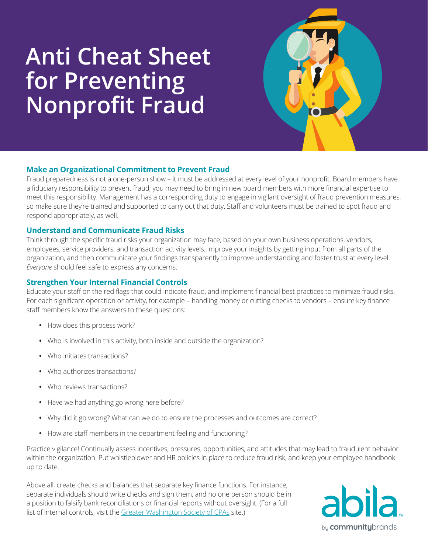# **Anti Cheat Sheet for Preventing Nonprofit Fraud**



# **Make an Organizational Commitment to Prevent Fraud**

Fraud preparedness is not a one-person show – it must be addressed at every level of your nonprofit. Board members have a fiduciary responsibility to prevent fraud; you may need to bring in new board members with more financial expertise to meet this responsibility. Management has a corresponding duty to engage in vigilant oversight of fraud prevention measures, so make sure they're trained and supported to carry out that duty. Staff and volunteers must be trained to spot fraud and respond appropriately, as well.

## **Understand and Communicate Fraud Risks**

Think through the specific fraud risks your organization may face, based on your own business operations, vendors, employees, service providers, and transaction activity levels. Improve your insights by getting input from all parts of the organization, and then communicate your findings transparently to improve understanding and foster trust at every level. *Everyone* should feel safe to express any concerns.

# **Strengthen Your Internal Financial Controls**

Educate your staff on the red flags that could indicate fraud, and implement financial best practices to minimize fraud risks. For each significant operation or activity, for example – handling money or cutting checks to vendors – ensure key finance staff members know the answers to these questions:

- **•** How does this process work?
- **•** Who is involved in this activity, both inside and outside the organization?
- **•** Who initiates transactions?
- **•** Who authorizes transactions?
- **•** Who reviews transactions?
- **•** Have we had anything go wrong here before?
- **•** Why did it go wrong? What can we do to ensure the processes and outcomes are correct?
- **•** How are staff members in the department feeling and functioning?

Practice vigilance! Continually assess incentives, pressures, opportunities, and attitudes that may lead to fraudulent behavior within the organization. Put whistleblower and HR policies in place to reduce fraud risk, and keep your employee handbook up to date.

Above all, create checks and balances that separate key finance functions. For instance, separate individuals should write checks and sign them, and no one person should be in a position to falsify bank reconciliations or financial reports without oversight. (For a full list of internal controls, visit the [Greater Washington Society of CPAs](https://www.gwscpa.org/content/home.aspx) site.)